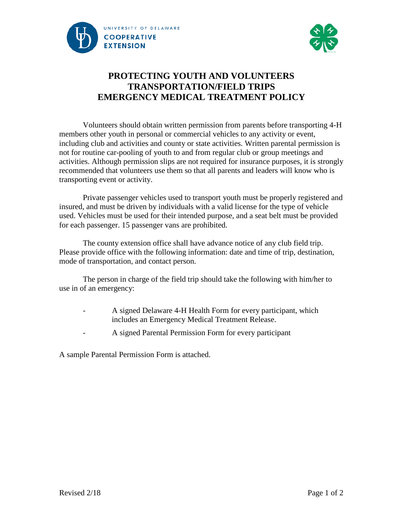



## **PROTECTING YOUTH AND VOLUNTEERS TRANSPORTATION/FIELD TRIPS EMERGENCY MEDICAL TREATMENT POLICY**

Volunteers should obtain written permission from parents before transporting 4-H members other youth in personal or commercial vehicles to any activity or event, including club and activities and county or state activities. Written parental permission is not for routine car-pooling of youth to and from regular club or group meetings and activities. Although permission slips are not required for insurance purposes, it is strongly recommended that volunteers use them so that all parents and leaders will know who is transporting event or activity.

Private passenger vehicles used to transport youth must be properly registered and insured, and must be driven by individuals with a valid license for the type of vehicle used. Vehicles must be used for their intended purpose, and a seat belt must be provided for each passenger. 15 passenger vans are prohibited.

The county extension office shall have advance notice of any club field trip. Please provide office with the following information: date and time of trip, destination, mode of transportation, and contact person.

The person in charge of the field trip should take the following with him/her to use in of an emergency:

- A signed Delaware 4-H Health Form for every participant, which includes an Emergency Medical Treatment Release.
- A signed Parental Permission Form for every participant

A sample Parental Permission Form is attached.